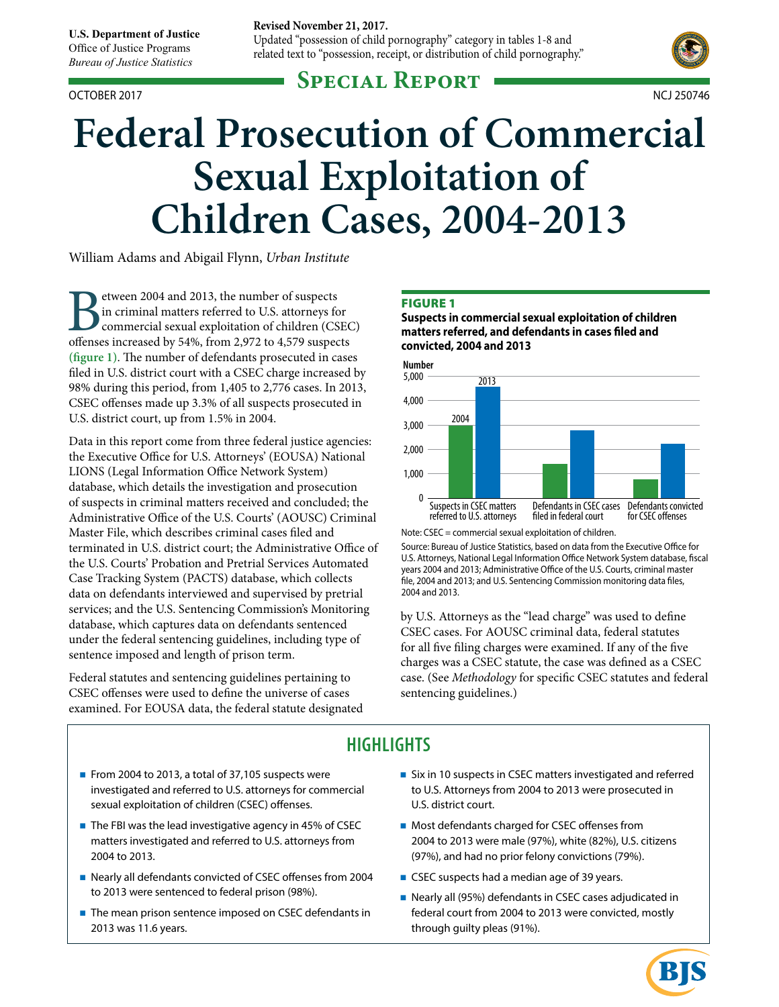**U.S. Department of Justice** 

Office of Justice Programs *Bureau of Justice Statistics*

#### OCTOBER 2017 NCJ 250746

#### **Revised November 21, 2017.**

Updated "possession of child pornography" category in tables 1-8 and related text to "possession, receipt, or distribution of child pornography."

# **Special Report**



# **Federal Prosecution of Commercial Sexual Exploitation of Children Cases, 2004-2013**

William Adams and Abigail Flynn, *Urban Institute*

etween 2004 and 2013, the number of suspects in criminal matters referred to U.S. attorneys for commercial sexual exploitation of children (CSEC) offenses increased by 54%, from 2,972 to 4,579 suspects **(figure 1)**. The number of defendants prosecuted in cases filed in U.S. district court with a CSEC charge increased by 98% during this period, from 1,405 to 2,776 cases. In 2013, CSEC offenses made up 3.3% of all suspects prosecuted in U.S. district court, up from 1.5% in 2004.

Data in this report come from three federal justice agencies: the Executive Office for U.S. Attorneys' (EOUSA) National LIONS (Legal Information Office Network System) database, which details the investigation and prosecution of suspects in criminal matters received and concluded; the Administrative Office of the U.S. Courts' (AOUSC) Criminal Master File, which describes criminal cases filed and terminated in U.S. district court; the Administrative Office of the U.S. Courts' Probation and Pretrial Services Automated Case Tracking System (PACTS) database, which collects data on defendants interviewed and supervised by pretrial services; and the U.S. Sentencing Commission's Monitoring database, which captures data on defendants sentenced under the federal sentencing guidelines, including type of sentence imposed and length of prison term.

Federal statutes and sentencing guidelines pertaining to CSEC offenses were used to define the universe of cases examined. For EOUSA data, the federal statute designated

#### **FIGURE 1**

**Suspects in commercial sexual exploitation of children matters referred, and defendants in cases filed and convicted, 2004 and 2013**



Note: CSEC = commercial sexual exploitation of children.

Source: Bureau of Justice Statistics, based on data from the Executive Office for U.S. Attorneys, National Legal Information Office Network System database, fiscal years 2004 and 2013; Administrative Office of the U.S. Courts, criminal master file, 2004 and 2013; and U.S. Sentencing Commission monitoring data files, 2004 and 2013.

by U.S. Attorneys as the "lead charge" was used to define CSEC cases. For AOUSC criminal data, federal statutes for all five filing charges were examined. If any of the five charges was a CSEC statute, the case was defined as a CSEC case. (See *Methodology* for specific CSEC statutes and federal sentencing guidelines.)

# **HIGHLIGHTS**

- From 2004 to 2013, a total of 37,105 suspects were investigated and referred to U.S. attorneys for commercial sexual exploitation of children (CSEC) offenses.
- The FBI was the lead investigative agency in 45% of CSEC matters investigated and referred to U.S. attorneys from 2004 to 2013.
- Nearly all defendants convicted of CSEC offenses from 2004 to 2013 were sentenced to federal prison (98%).
- The mean prison sentence imposed on CSEC defendants in 2013 was 11.6 years.
- Six in 10 suspects in CSEC matters investigated and referred to U.S. Attorneys from 2004 to 2013 were prosecuted in U.S. district court.
- Most defendants charged for CSEC offenses from 2004 to 2013 were male (97%), white (82%), U.S. citizens (97%), and had no prior felony convictions (79%).
- CSEC suspects had a median age of 39 years.
- Nearly all (95%) defendants in CSEC cases adjudicated in federal court from 2004 to 2013 were convicted, mostly through guilty pleas (91%).

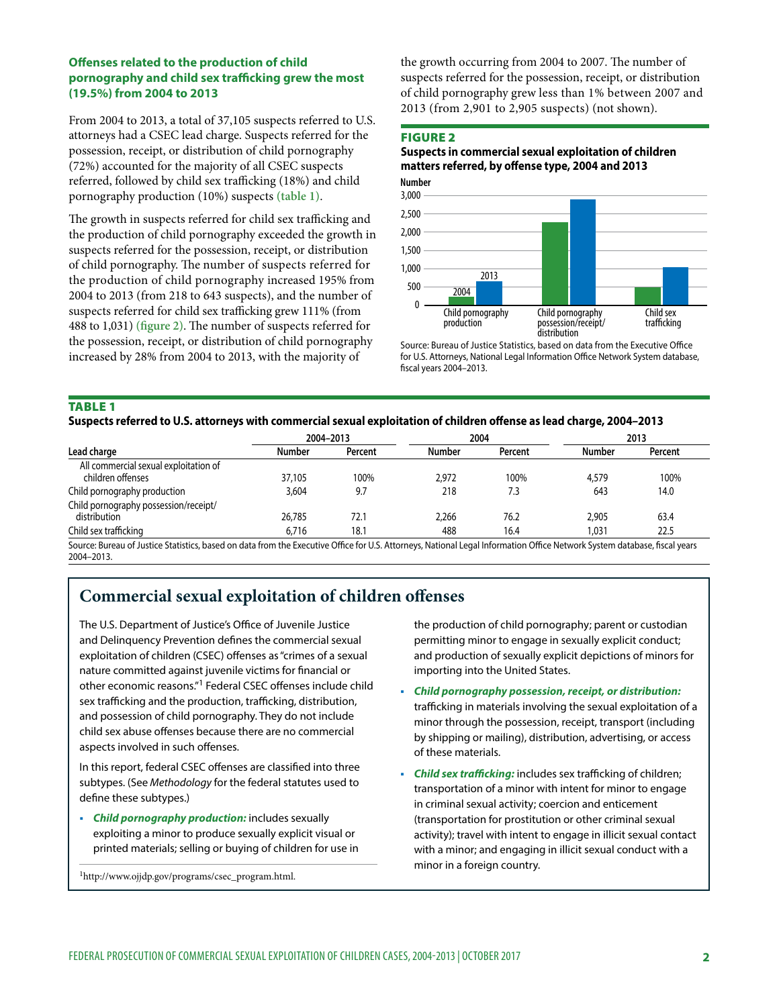## **Offenses related to the production of child pornography and child sex trafficking grew the most (19.5%) from 2004 to 2013**

From 2004 to 2013, a total of 37,105 suspects referred to U.S. attorneys had a CSEC lead charge. Suspects referred for the possession, receipt, or distribution of child pornography (72%) accounted for the majority of all CSEC suspects referred, followed by child sex trafficking (18%) and child pornography production (10%) suspects **(table 1)**.

The growth in suspects referred for child sex trafficking and the production of child pornography exceeded the growth in suspects referred for the possession, receipt, or distribution of child pornography. The number of suspects referred for the production of child pornography increased 195% from 2004 to 2013 (from 218 to 643 suspects), and the number of suspects referred for child sex trafficking grew 111% (from 488 to 1,031) **(figure 2)**. The number of suspects referred for the possession, receipt, or distribution of child pornography increased by 28% from 2004 to 2013, with the majority of

the growth occurring from 2004 to 2007. The number of suspects referred for the possession, receipt, or distribution of child pornography grew less than 1% between 2007 and 2013 (from 2,901 to 2,905 suspects) (not shown).

#### FIGURE 2

**Suspects in commercial sexual exploitation of children matters referred, by offense type, 2004 and 2013**



Source: Bureau of Justice Statistics, based on data from the Executive Office for U.S. Attorneys, National Legal Information Office Network System database, fiscal years 2004–2013.

#### Table 1

## **Suspects referred to U.S. attorneys with commercial sexual exploitation of children offense as lead charge, 2004–2013**

|                                                            |        | 2004-2013 |               | 2004    | 2013          |         |
|------------------------------------------------------------|--------|-----------|---------------|---------|---------------|---------|
| Lead charge                                                | Number | Percent   | <b>Number</b> | Percent | <b>Number</b> | Percent |
| All commercial sexual exploitation of<br>children offenses | 37,105 | 100%      | 2.972         | 100%    | 4,579         | 100%    |
| Child pornography production                               | 3,604  | 9.7       | 218           | 7.3     | 643           | 14.0    |
| Child pornography possession/receipt/<br>distribution      | 26.785 | 72.1      | 2.266         | 76.2    | 2.905         | 63.4    |
| Child sex trafficking                                      | 6.716  | 18.1      | 488           | 16.4    | 1.031         | 22.5    |

Source: Bureau of Justice Statistics, based on data from the Executive Office for U.S. Attorneys, National Legal Information Office Network System database, fiscal years 2004–2013.

## **Commercial sexual exploitation of children offenses**

The U.S. Department of Justice's Office of Juvenile Justice and Delinquency Prevention defines the commercial sexual exploitation of children (CSEC) offenses as "crimes of a sexual nature committed against juvenile victims for financial or other economic reasons."1 Federal CSEC offenses include child sex trafficking and the production, trafficking, distribution, and possession of child pornography. They do not include child sex abuse offenses because there are no commercial aspects involved in such offenses.

In this report, federal CSEC offenses are classified into three subtypes. (See *Methodology* for the federal statutes used to define these subtypes.)

 *Child pornography production:* includes sexually exploiting a minor to produce sexually explicit visual or printed materials; selling or buying of children for use in

1http://www.ojjdp.gov/programs/csec\_program.html.

the production of child pornography; parent or custodian permitting minor to engage in sexually explicit conduct; and production of sexually explicit depictions of minors for importing into the United States.

- *Child pornography possession, receipt, or distribution:* trafficking in materials involving the sexual exploitation of a minor through the possession, receipt, transport (including by shipping or mailing), distribution, advertising, or access of these materials.
- *Child sex trafficking:* includes sex trafficking of children; transportation of a minor with intent for minor to engage in criminal sexual activity; coercion and enticement (transportation for prostitution or other criminal sexual activity); travel with intent to engage in illicit sexual contact with a minor; and engaging in illicit sexual conduct with a minor in a foreign country.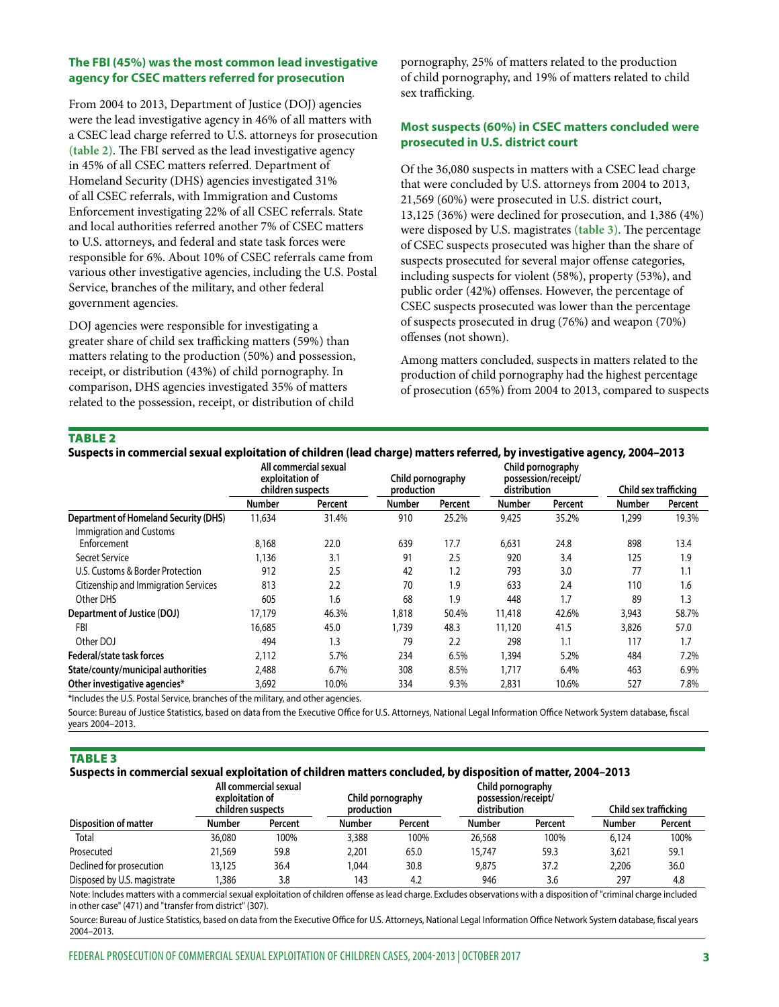## **The FBI (45%) was the most common lead investigative agency for CSEC matters referred for prosecution**

From 2004 to 2013, Department of Justice (DOJ) agencies were the lead investigative agency in 46% of all matters with a CSEC lead charge referred to U.S. attorneys for prosecution **(table 2)**. The FBI served as the lead investigative agency in 45% of all CSEC matters referred. Department of Homeland Security (DHS) agencies investigated 31% of all CSEC referrals, with Immigration and Customs Enforcement investigating 22% of all CSEC referrals. State and local authorities referred another 7% of CSEC matters to U.S. attorneys, and federal and state task forces were responsible for 6%. About 10% of CSEC referrals came from various other investigative agencies, including the U.S. Postal Service, branches of the military, and other federal government agencies.

DOJ agencies were responsible for investigating a greater share of child sex trafficking matters (59%) than matters relating to the production (50%) and possession, receipt, or distribution (43%) of child pornography. In comparison, DHS agencies investigated 35% of matters related to the possession, receipt, or distribution of child

pornography, 25% of matters related to the production of child pornography, and 19% of matters related to child sex trafficking.

## **Most suspects (60%) in CSEC matters concluded were prosecuted in U.S. district court**

Of the 36,080 suspects in matters with a CSEC lead charge that were concluded by U.S. attorneys from 2004 to 2013, 21,569 (60%) were prosecuted in U.S. district court, 13,125 (36%) were declined for prosecution, and 1,386 (4%) were disposed by U.S. magistrates **(table 3)**. The percentage of CSEC suspects prosecuted was higher than the share of suspects prosecuted for several major offense categories, including suspects for violent (58%), property (53%), and public order (42%) offenses. However, the percentage of CSEC suspects prosecuted was lower than the percentage of suspects prosecuted in drug (76%) and weapon (70%) offenses (not shown).

Among matters concluded, suspects in matters related to the production of child pornography had the highest percentage of prosecution (65%) from 2004 to 2013, compared to suspects

#### TABLE 2

| Suspects in commercial sexual exploitation of children (lead charge) matters referred, by investigative agency, 2004–2013 |                   |
|---------------------------------------------------------------------------------------------------------------------------|-------------------|
| All commercial sexual                                                                                                     | Child pornography |

|                                               | Ali commercial sexual<br>exploitation of<br>children suspects |         | production    | Child pornography | distribution  | Child pornography<br>possession/receipt/ |        | Child sex trafficking |  |
|-----------------------------------------------|---------------------------------------------------------------|---------|---------------|-------------------|---------------|------------------------------------------|--------|-----------------------|--|
|                                               | <b>Number</b>                                                 | Percent | <b>Number</b> | Percent           | <b>Number</b> | Percent                                  | Number | Percent               |  |
| <b>Department of Homeland Security (DHS)</b>  | 11,634                                                        | 31.4%   | 910           | 25.2%             | 9,425         | 35.2%                                    | 1,299  | 19.3%                 |  |
| <b>Immigration and Customs</b><br>Enforcement | 8,168                                                         | 22.0    | 639           | 17.7              | 6,631         | 24.8                                     | 898    | 13.4                  |  |
| Secret Service                                | 1,136                                                         | 3.1     | 91            | 2.5               | 920           | 3.4                                      | 125    | 1.9                   |  |
| U.S. Customs & Border Protection              | 912                                                           | 2.5     | 42            | 1.2               | 793           | 3.0                                      | 77     | 1.1                   |  |
| Citizenship and Immigration Services          | 813                                                           | 2.2     | 70            | 1.9               | 633           | 2.4                                      | 110    | 1.6                   |  |
| Other DHS                                     | 605                                                           | 1.6     | 68            | 1.9               | 448           | 1.7                                      | 89     | 1.3                   |  |
| Department of Justice (DOJ)                   | 17,179                                                        | 46.3%   | 1,818         | 50.4%             | 11,418        | 42.6%                                    | 3,943  | 58.7%                 |  |
| FBI                                           | 16,685                                                        | 45.0    | 1,739         | 48.3              | 11,120        | 41.5                                     | 3,826  | 57.0                  |  |
| Other DOJ                                     | 494                                                           | 1.3     | 79            | 2.2               | 298           | 1.1                                      | 117    | 1.7                   |  |
| Federal/state task forces                     | 2,112                                                         | 5.7%    | 234           | 6.5%              | 1,394         | 5.2%                                     | 484    | 7.2%                  |  |
| State/county/municipal authorities            | 2,488                                                         | 6.7%    | 308           | 8.5%              | 1,717         | 6.4%                                     | 463    | 6.9%                  |  |
| Other investigative agencies*                 | 3,692                                                         | 10.0%   | 334           | 9.3%              | 2.831         | 10.6%                                    | 527    | 7.8%                  |  |

\*Includes the U.S. Postal Service, branches of the military, and other agencies.

Source: Bureau of Justice Statistics, based on data from the Executive Office for U.S. Attorneys, National Legal Information Office Network System database, fiscal years 2004–2013.

#### TABLE 3

#### **Suspects in commercial sexual exploitation of children matters concluded, by disposition of matter, 2004–2013**

|                              | All commercial sexual<br>exploitation of<br>children suspects |         | Child pornography<br>production |         | Child pornography<br>possession/receipt/<br>distribution |         | Child sex trafficking |         |
|------------------------------|---------------------------------------------------------------|---------|---------------------------------|---------|----------------------------------------------------------|---------|-----------------------|---------|
| <b>Disposition of matter</b> | Number                                                        | Percent | <b>Number</b>                   | Percent | Number                                                   | Percent | <b>Number</b>         | Percent |
| Total                        | 36,080                                                        | 100%    | 3,388                           | 100%    | 26,568                                                   | 100%    | 6.124                 | 100%    |
| Prosecuted                   | 21,569                                                        | 59.8    | 2.201                           | 65.0    | 15.747                                                   | 59.3    | 3,621                 | 59.1    |
| Declined for prosecution     | 13,125                                                        | 36.4    | 044. ا                          | 30.8    | 9.875                                                    | 37.2    | 2,206                 | 36.0    |
| Disposed by U.S. magistrate  | .386                                                          | 3.8     | 143                             | 4.2     | 946                                                      | 3.6     | 297                   | 4.8     |

Note: Includes matters with a commercial sexual exploitation of children offense as lead charge. Excludes observations with a disposition of "criminal charge included in other case" (471) and "transfer from district" (307).

Source: Bureau of Justice Statistics, based on data from the Executive Office for U.S. Attorneys, National Legal Information Office Network System database, fiscal years 2004–2013.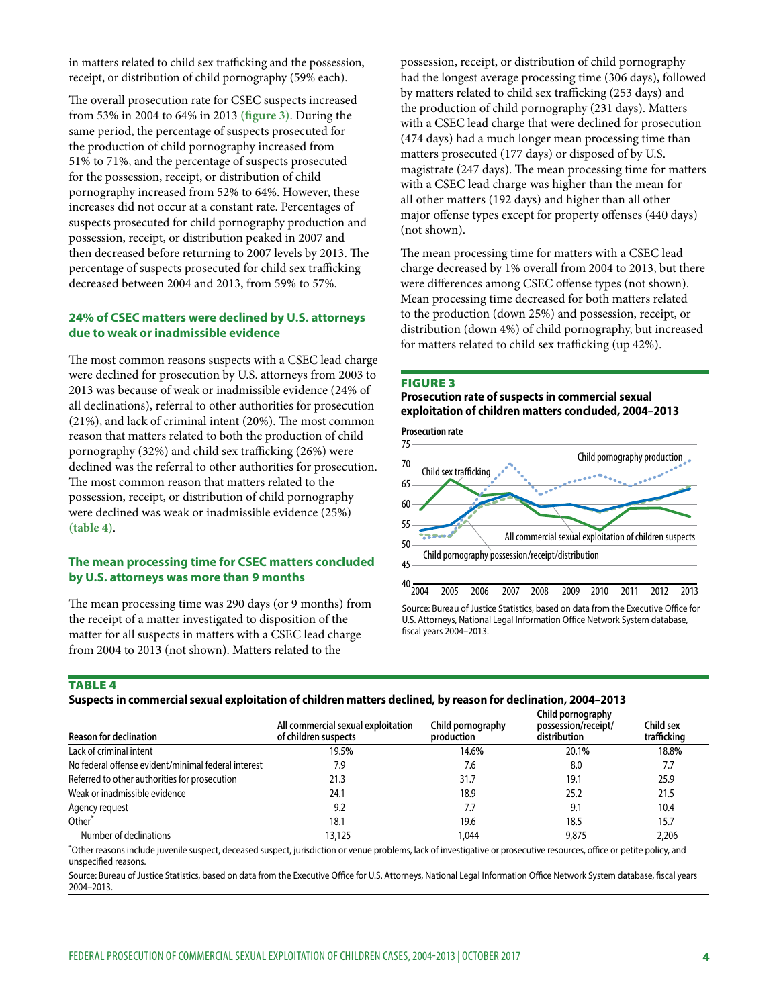in matters related to child sex trafficking and the possession, receipt, or distribution of child pornography (59% each).

The overall prosecution rate for CSEC suspects increased from 53% in 2004 to 64% in 2013 **(figure 3)**. During the same period, the percentage of suspects prosecuted for the production of child pornography increased from 51% to 71%, and the percentage of suspects prosecuted for the possession, receipt, or distribution of child pornography increased from 52% to 64%. However, these increases did not occur at a constant rate. Percentages of suspects prosecuted for child pornography production and possession, receipt, or distribution peaked in 2007 and then decreased before returning to 2007 levels by 2013. The percentage of suspects prosecuted for child sex trafficking decreased between 2004 and 2013, from 59% to 57%.

#### **24% of CSEC matters were declined by U.S. attorneys due to weak or inadmissible evidence**

The most common reasons suspects with a CSEC lead charge were declined for prosecution by U.S. attorneys from 2003 to 2013 was because of weak or inadmissible evidence (24% of all declinations), referral to other authorities for prosecution (21%), and lack of criminal intent (20%). The most common reason that matters related to both the production of child pornography (32%) and child sex trafficking (26%) were declined was the referral to other authorities for prosecution. The most common reason that matters related to the possession, receipt, or distribution of child pornography were declined was weak or inadmissible evidence (25%) **(table 4)**.

#### **The mean processing time for CSEC matters concluded by U.S. attorneys was more than 9 months**

The mean processing time was 290 days (or 9 months) from the receipt of a matter investigated to disposition of the matter for all suspects in matters with a CSEC lead charge from 2004 to 2013 (not shown). Matters related to the

possession, receipt, or distribution of child pornography had the longest average processing time (306 days), followed by matters related to child sex trafficking (253 days) and the production of child pornography (231 days). Matters with a CSEC lead charge that were declined for prosecution (474 days) had a much longer mean processing time than matters prosecuted (177 days) or disposed of by U.S. magistrate (247 days). The mean processing time for matters with a CSEC lead charge was higher than the mean for all other matters (192 days) and higher than all other major offense types except for property offenses (440 days) (not shown).

The mean processing time for matters with a CSEC lead charge decreased by 1% overall from 2004 to 2013, but there were differences among CSEC offense types (not shown). Mean processing time decreased for both matters related to the production (down 25%) and possession, receipt, or distribution (down 4%) of child pornography, but increased for matters related to child sex trafficking (up 42%).

#### FIGURE 3

## **Prosecution rate of suspects in commercial sexual exploitation of children matters concluded, 2004–2013**



Source: Bureau of Justice Statistics, based on data from the Executive Office for U.S. Attorneys, National Legal Information Office Network System database, fiscal years 2004–2013.

TABLE 4

**Suspects in commercial sexual exploitation of children matters declined, by reason for declination, 2004–2013**

| <b>Reason for declination</b>                       | All commercial sexual exploitation<br>of children suspects | Child pornography<br>production | Child pornography<br>possession/receipt/<br>distribution | Child sex<br>trafficking |
|-----------------------------------------------------|------------------------------------------------------------|---------------------------------|----------------------------------------------------------|--------------------------|
| Lack of criminal intent                             | 19.5%                                                      | 14.6%                           | 20.1%                                                    | 18.8%                    |
| No federal offense evident/minimal federal interest | 7.9                                                        | 7.6                             | 8.0                                                      | 7.7                      |
| Referred to other authorities for prosecution       | 21.3                                                       | 31.7                            | 19.1                                                     | 25.9                     |
| Weak or inadmissible evidence                       | 24.1                                                       | 18.9                            | 25.2                                                     | 21.5                     |
| Agency request                                      | 9.2                                                        | 7.7                             | 9.1                                                      | 10.4                     |
| Other <sup>*</sup>                                  | 18.1                                                       | 19.6                            | 18.5                                                     | 15.7                     |
| Number of declinations                              | 13,125                                                     | 1.044                           | 9,875                                                    | 2,206                    |

\* Other reasons include juvenile suspect, deceased suspect, jurisdiction or venue problems, lack of investigative or prosecutive resources, office or petite policy, and unspecified reasons.

Source: Bureau of Justice Statistics, based on data from the Executive Office for U.S. Attorneys, National Legal Information Office Network System database, fiscal years 2004–2013.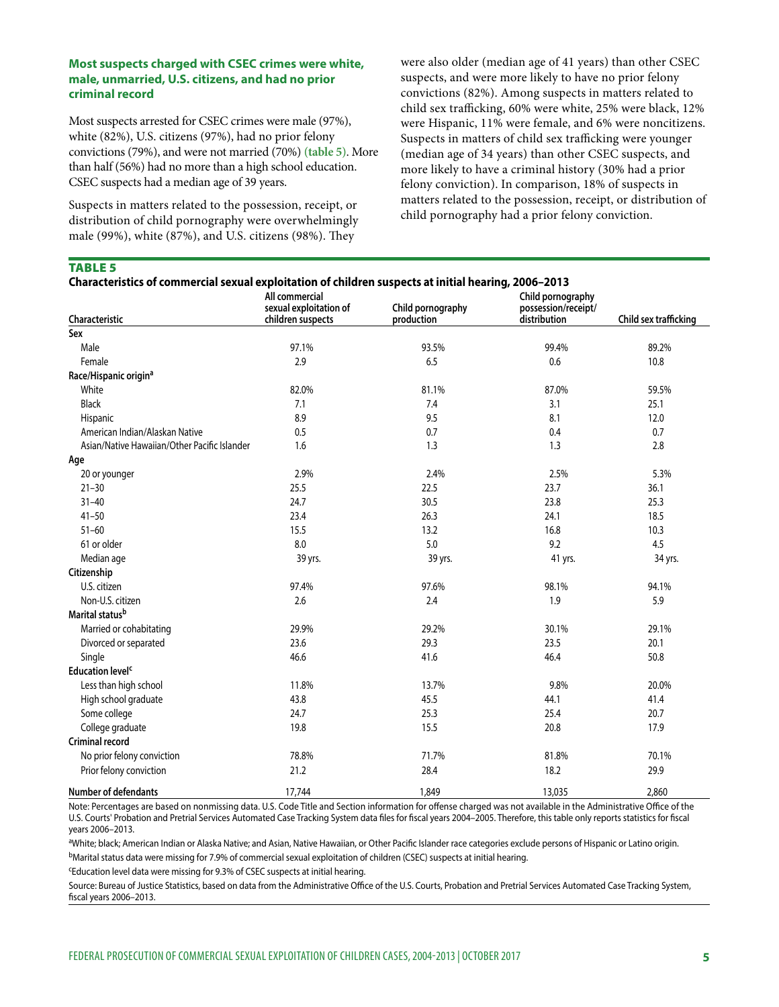#### **Most suspects charged with CSEC crimes were white, male, unmarried, U.S. citizens, and had no prior criminal record**

Most suspects arrested for CSEC crimes were male (97%), white (82%), U.S. citizens (97%), had no prior felony convictions (79%), and were not married (70%) **(table 5)**. More than half (56%) had no more than a high school education. CSEC suspects had a median age of 39 years.

Suspects in matters related to the possession, receipt, or distribution of child pornography were overwhelmingly male (99%), white (87%), and U.S. citizens (98%). They

were also older (median age of 41 years) than other CSEC suspects, and were more likely to have no prior felony convictions (82%). Among suspects in matters related to child sex trafficking, 60% were white, 25% were black, 12% were Hispanic, 11% were female, and 6% were noncitizens. Suspects in matters of child sex trafficking were younger (median age of 34 years) than other CSEC suspects, and more likely to have a criminal history (30% had a prior felony conviction). In comparison, 18% of suspects in matters related to the possession, receipt, or distribution of child pornography had a prior felony conviction.

## TABLE 5

| Characteristic                               | All commercial<br>sexual exploitation of<br>children suspects | Child pornography<br>production | Child pornography<br>possession/receipt/<br>distribution | Child sex trafficking |
|----------------------------------------------|---------------------------------------------------------------|---------------------------------|----------------------------------------------------------|-----------------------|
| Sex                                          |                                                               |                                 |                                                          |                       |
| Male                                         | 97.1%                                                         | 93.5%                           | 99.4%                                                    | 89.2%                 |
| Female                                       | 2.9                                                           | 6.5                             | 0.6                                                      | 10.8                  |
| Race/Hispanic origin <sup>a</sup>            |                                                               |                                 |                                                          |                       |
| White                                        | 82.0%                                                         | 81.1%                           | 87.0%                                                    | 59.5%                 |
| <b>Black</b>                                 | 7.1                                                           | 7.4                             | 3.1                                                      | 25.1                  |
| Hispanic                                     | 8.9                                                           | 9.5                             | 8.1                                                      | 12.0                  |
| American Indian/Alaskan Native               | 0.5                                                           | 0.7                             | 0.4                                                      | 0.7                   |
| Asian/Native Hawaiian/Other Pacific Islander | 1.6                                                           | 1.3                             | 1.3                                                      | 2.8                   |
| Age                                          |                                                               |                                 |                                                          |                       |
| 20 or younger                                | 2.9%                                                          | 2.4%                            | 2.5%                                                     | 5.3%                  |
| $21 - 30$                                    | 25.5                                                          | 22.5                            | 23.7                                                     | 36.1                  |
| $31 - 40$                                    | 24.7                                                          | 30.5                            | 23.8                                                     | 25.3                  |
| $41 - 50$                                    | 23.4                                                          | 26.3                            | 24.1                                                     | 18.5                  |
| $51 - 60$                                    | 15.5                                                          | 13.2                            | 16.8                                                     | 10.3                  |
| 61 or older                                  | 8.0                                                           | 5.0                             | 9.2                                                      | 4.5                   |
| Median age                                   | 39 yrs.                                                       | 39 yrs.                         | 41 yrs.                                                  | 34 yrs.               |
| Citizenship                                  |                                                               |                                 |                                                          |                       |
| U.S. citizen                                 | 97.4%                                                         | 97.6%                           | 98.1%                                                    | 94.1%                 |
| Non-U.S. citizen                             | 2.6                                                           | 2.4                             | 1.9                                                      | 5.9                   |
| Marital statusb                              |                                                               |                                 |                                                          |                       |
| Married or cohabitating                      | 29.9%                                                         | 29.2%                           | 30.1%                                                    | 29.1%                 |
| Divorced or separated                        | 23.6                                                          | 29.3                            | 23.5                                                     | 20.1                  |
| Single                                       | 46.6                                                          | 41.6                            | 46.4                                                     | 50.8                  |
| <b>Education level<sup>c</sup></b>           |                                                               |                                 |                                                          |                       |
| Less than high school                        | 11.8%                                                         | 13.7%                           | 9.8%                                                     | 20.0%                 |
| High school graduate                         | 43.8                                                          | 45.5                            | 44.1                                                     | 41.4                  |
| Some college                                 | 24.7                                                          | 25.3                            | 25.4                                                     | 20.7                  |
| College graduate                             | 19.8                                                          | 15.5                            | 20.8                                                     | 17.9                  |
| Criminal record                              |                                                               |                                 |                                                          |                       |
| No prior felony conviction                   | 78.8%                                                         | 71.7%                           | 81.8%                                                    | 70.1%                 |
| Prior felony conviction                      | 21.2                                                          | 28.4                            | 18.2                                                     | 29.9                  |
| Number of defendants                         | 17,744                                                        | 1,849                           | 13,035                                                   | 2,860                 |

Note: Percentages are based on nonmissing data. U.S. Code Title and Section information for offense charged was not available in the Administrative Office of the U.S. Courts' Probation and Pretrial Services Automated Case Tracking System data files for fiscal years 2004–2005. Therefore, this table only reports statistics for fiscal years 2006–2013.

aWhite; black; American Indian or Alaska Native; and Asian, Native Hawaiian, or Other Pacific Islander race categories exclude persons of Hispanic or Latino origin. bMarital status data were missing for 7.9% of commercial sexual exploitation of children (CSEC) suspects at initial hearing.

cEducation level data were missing for 9.3% of CSEC suspects at initial hearing.

Source: Bureau of Justice Statistics, based on data from the Administrative Office of the U.S. Courts, Probation and Pretrial Services Automated Case Tracking System, fiscal years 2006–2013.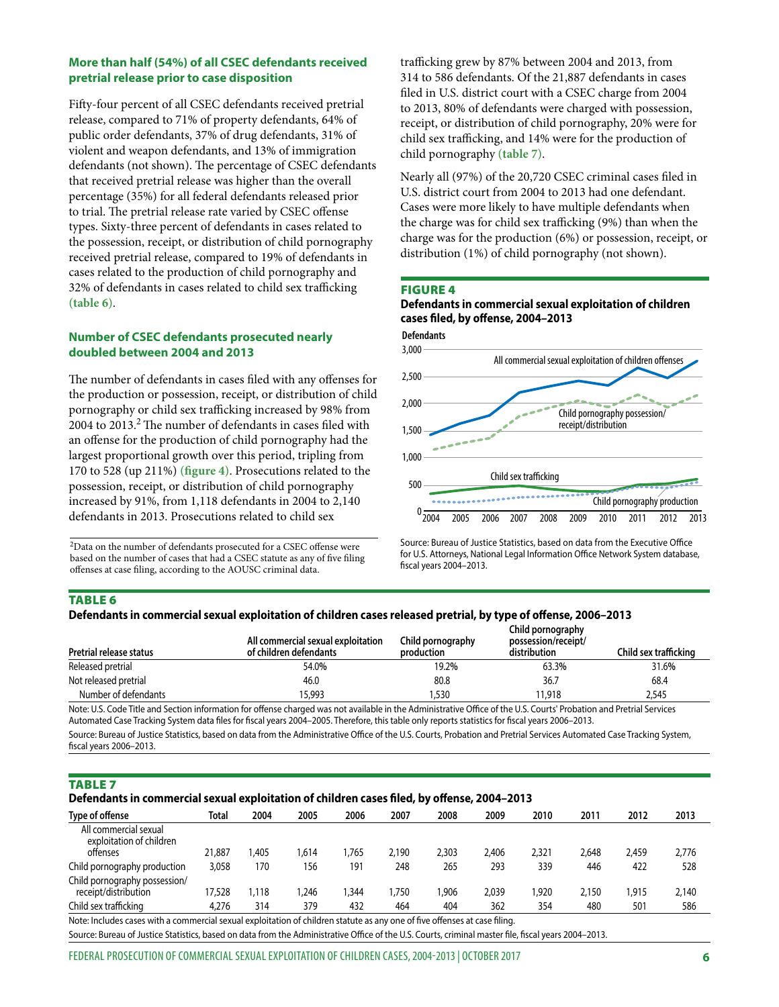## **More than half (54%) of all CSEC defendants received pretrial release prior to case disposition**

Fifty-four percent of all CSEC defendants received pretrial release, compared to 71% of property defendants, 64% of public order defendants, 37% of drug defendants, 31% of violent and weapon defendants, and 13% of immigration defendants (not shown). The percentage of CSEC defendants that received pretrial release was higher than the overall percentage (35%) for all federal defendants released prior to trial. The pretrial release rate varied by CSEC offense types. Sixty-three percent of defendants in cases related to the possession, receipt, or distribution of child pornography received pretrial release, compared to 19% of defendants in cases related to the production of child pornography and 32% of defendants in cases related to child sex trafficking **(table 6)**.

## **Number of CSEC defendants prosecuted nearly doubled between 2004 and 2013**

The number of defendants in cases filed with any offenses for the production or possession, receipt, or distribution of child pornography or child sex trafficking increased by 98% from 2004 to 2013.<sup>2</sup> The number of defendants in cases filed with an offense for the production of child pornography had the largest proportional growth over this period, tripling from 170 to 528 (up 211%) **(figure 4)**. Prosecutions related to the possession, receipt, or distribution of child pornography increased by 91%, from 1,118 defendants in 2004 to 2,140 defendants in 2013. Prosecutions related to child sex

2Data on the number of defendants prosecuted for a CSEC offense were based on the number of cases that had a CSEC statute as any of five filing offenses at case filing, according to the AOUSC criminal data.

trafficking grew by 87% between 2004 and 2013, from 314 to 586 defendants. Of the 21,887 defendants in cases filed in U.S. district court with a CSEC charge from 2004 to 2013, 80% of defendants were charged with possession, receipt, or distribution of child pornography, 20% were for child sex trafficking, and 14% were for the production of child pornography **(table 7)**.

Nearly all (97%) of the 20,720 CSEC criminal cases filed in U.S. district court from 2004 to 2013 had one defendant. Cases were more likely to have multiple defendants when the charge was for child sex trafficking (9%) than when the charge was for the production (6%) or possession, receipt, or distribution (1%) of child pornography (not shown).

#### FIGURE 4





Source: Bureau of Justice Statistics, based on data from the Executive Office for U.S. Attorneys, National Legal Information Office Network System database, fiscal years 2004–2013.

## TABLE 6

## **Defendants in commercial sexual exploitation of children cases released pretrial, by type of offense, 2006–2013**

| Pretrial release status | All commercial sexual exploitation<br>of children defendants | Child pornography<br>production | Child pornography<br>possession/receipt/<br>distribution | Child sex trafficking |
|-------------------------|--------------------------------------------------------------|---------------------------------|----------------------------------------------------------|-----------------------|
| Released pretrial       | 54.0%                                                        | 19.2%                           | 63.3%                                                    | 31.6%                 |
| Not released pretrial   | 46.0                                                         | 80.8                            | 36.7                                                     | 68.4                  |
| Number of defendants    | 15.993                                                       | ,530                            | 11.918                                                   | 2.545                 |

Note: U.S. Code Title and Section information for offense charged was not available in the Administrative Office of the U.S. Courts' Probation and Pretrial Services Automated Case Tracking System data files for fiscal years 2004–2005. Therefore, this table only reports statistics for fiscal years 2006–2013. Source: Bureau of Justice Statistics, based on data from the Administrative Office of the U.S. Courts, Probation and Pretrial Services Automated Case Tracking System, fiscal years 2006–2013.

## TABLE 7

#### **Defendants in commercial sexual exploitation of children cases filed, by offense, 2004–2013**

| Type of offense                                               | Total                                                                                                                      | 2004  | 2005   | 2006  | 2007  | 2008  | 2009  | 2010  | 2011  | 2012  | 2013  |
|---------------------------------------------------------------|----------------------------------------------------------------------------------------------------------------------------|-------|--------|-------|-------|-------|-------|-------|-------|-------|-------|
| All commercial sexual<br>exploitation of children<br>offenses | 21.887                                                                                                                     | .405  | 614. ا | 1.765 | 2.190 | 2,303 | 2,406 | 2,321 | 2,648 | 2,459 | 2,776 |
|                                                               |                                                                                                                            |       |        |       |       |       |       |       |       |       |       |
| Child pornography production                                  | 3.058                                                                                                                      | 170   | 156    | 191   | 248   | 265   | 293   | 339   | 446   | 422   | 528   |
| Child pornography possession/                                 |                                                                                                                            |       |        |       |       |       |       |       |       |       |       |
| receipt/distribution                                          | 17.528                                                                                                                     | 1.118 | .246   | .344  | 1.750 | .906  | 2.039 | .920  | 2.150 | 915.  | 2,140 |
| Child sex trafficking                                         | 4.276                                                                                                                      | 314   | 379    | 432   | 464   | 404   | 362   | 354   | 480   | 501   | 586   |
|                                                               | Note: Includes cases with a commercial sexual exploitation of children statute as any one of five offenses at case filing. |       |        |       |       |       |       |       |       |       |       |

Source: Bureau of Justice Statistics, based on data from the Administrative Office of the U.S. Courts, criminal master file, fiscal years 2004–2013.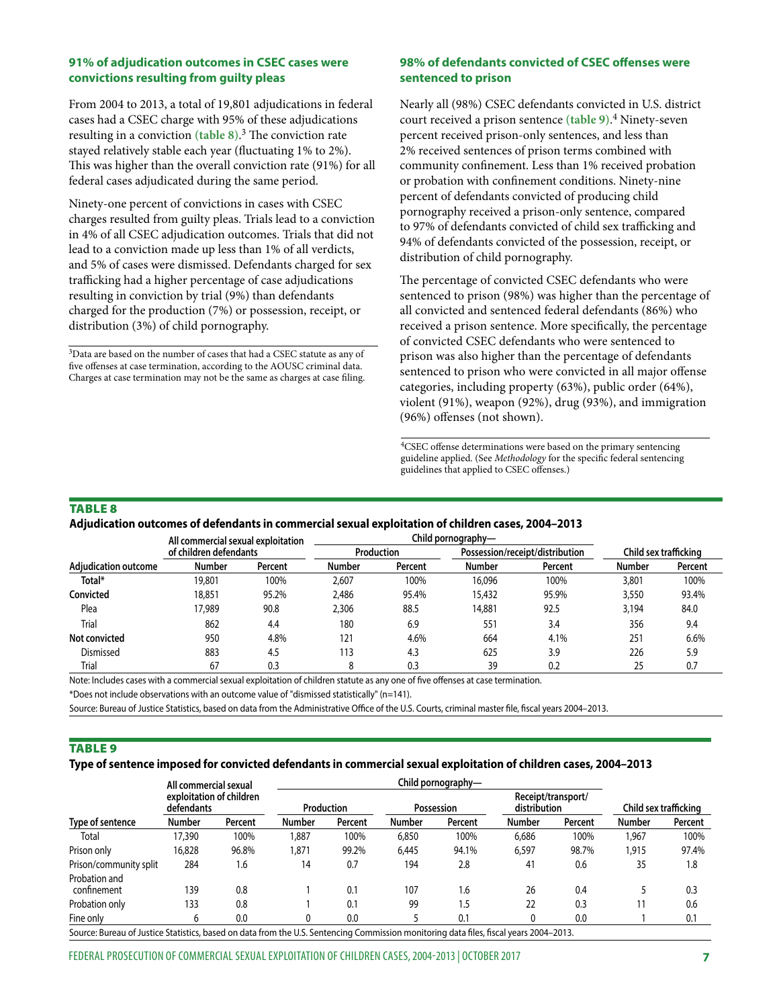#### **91% of adjudication outcomes in CSEC cases were convictions resulting from guilty pleas**

From 2004 to 2013, a total of 19,801 adjudications in federal cases had a CSEC charge with 95% of these adjudications resulting in a conviction **(table 8)**. 3 The conviction rate stayed relatively stable each year (fluctuating 1% to 2%). This was higher than the overall conviction rate (91%) for all federal cases adjudicated during the same period.

Ninety-one percent of convictions in cases with CSEC charges resulted from guilty pleas. Trials lead to a conviction in 4% of all CSEC adjudication outcomes. Trials that did not lead to a conviction made up less than 1% of all verdicts, and 5% of cases were dismissed. Defendants charged for sex trafficking had a higher percentage of case adjudications resulting in conviction by trial (9%) than defendants charged for the production (7%) or possession, receipt, or distribution (3%) of child pornography.

3Data are based on the number of cases that had a CSEC statute as any of five offenses at case termination, according to the AOUSC criminal data. Charges at case termination may not be the same as charges at case filing.

## **98% of defendants convicted of CSEC offenses were sentenced to prison**

Nearly all (98%) CSEC defendants convicted in U.S. district court received a prison sentence **(table 9)**. 4 Ninety-seven percent received prison-only sentences, and less than 2% received sentences of prison terms combined with community confinement. Less than 1% received probation or probation with confinement conditions. Ninety-nine percent of defendants convicted of producing child pornography received a prison-only sentence, compared to 97% of defendants convicted of child sex trafficking and 94% of defendants convicted of the possession, receipt, or distribution of child pornography.

The percentage of convicted CSEC defendants who were sentenced to prison (98%) was higher than the percentage of all convicted and sentenced federal defendants (86%) who received a prison sentence. More specifically, the percentage of convicted CSEC defendants who were sentenced to prison was also higher than the percentage of defendants sentenced to prison who were convicted in all major offense categories, including property (63%), public order (64%), violent (91%), weapon (92%), drug (93%), and immigration (96%) offenses (not shown).

4CSEC offense determinations were based on the primary sentencing guideline applied. (See *Methodology* for the specific federal sentencing guidelines that applied to CSEC offenses.)

## TABLE 8

## **Adjudication outcomes of defendants in commercial sexual exploitation of children cases, 2004–2013**

|                             | All commercial sexual exploitation |         |               | Child pornography— |               |                                 |                       |         |
|-----------------------------|------------------------------------|---------|---------------|--------------------|---------------|---------------------------------|-----------------------|---------|
|                             | of children defendants             |         |               | <b>Production</b>  |               | Possession/receipt/distribution | Child sex trafficking |         |
| <b>Adiudication outcome</b> | Number                             | Percent | <b>Number</b> | Percent            | <b>Number</b> | Percent                         | <b>Number</b>         | Percent |
| Total*                      | 19,801                             | 100%    | 2,607         | 100%               | 16,096        | 100%                            | 3,801                 | 100%    |
| Convicted                   | 18,851                             | 95.2%   | 2,486         | 95.4%              | 15,432        | 95.9%                           | 3,550                 | 93.4%   |
| Plea                        | 7.989                              | 90.8    | 2,306         | 88.5               | 14,881        | 92.5                            | 3,194                 | 84.0    |
| Trial                       | 862                                | 4.4     | 180           | 6.9                | 551           | 3.4                             | 356                   | 9.4     |
| Not convicted               | 950                                | 4.8%    | 121           | 4.6%               | 664           | 4.1%                            | 251                   | 6.6%    |
| Dismissed                   | 883                                | 4.5     | 113           | 4.3                | 625           | 3.9                             | 226                   | 5.9     |
| Trial                       | 67                                 | 0.3     | 8             | 0.3                | 39            | 0.2                             | 25                    | 0.7     |

Note: Includes cases with a commercial sexual exploitation of children statute as any one of five offenses at case termination.

\*Does not include observations with an outcome value of "dismissed statistically" (n=141).

Source: Bureau of Justice Statistics, based on data from the Administrative Office of the U.S. Courts, criminal master file, fiscal years 2004–2013.

#### TABLE 9

#### **Type of sentence imposed for convicted defendants in commercial sexual exploitation of children cases, 2004–2013**

|                                                                                                                                        | All commercial sexual<br>exploitation of children<br>defendants |         |               |                   |               |            |               |                                    |                       |         |
|----------------------------------------------------------------------------------------------------------------------------------------|-----------------------------------------------------------------|---------|---------------|-------------------|---------------|------------|---------------|------------------------------------|-----------------------|---------|
| Type of sentence                                                                                                                       |                                                                 |         |               | <b>Production</b> |               | Possession |               | Receipt/transport/<br>distribution | Child sex trafficking |         |
|                                                                                                                                        | <b>Number</b>                                                   | Percent | <b>Number</b> | Percent           | <b>Number</b> | Percent    | <b>Number</b> | Percent                            | <b>Number</b>         | Percent |
| Total                                                                                                                                  | 17,390                                                          | 100%    | 1.887         | 100%              | 6,850         | 100%       | 6,686         | 100%                               | 1.967                 | 100%    |
| Prison only                                                                                                                            | 16,828                                                          | 96.8%   | 1.871         | 99.2%             | 6.445         | 94.1%      | 6,597         | 98.7%                              | 1.915                 | 97.4%   |
| Prison/community split                                                                                                                 | 284                                                             | 1.6     | 14            | 0.7               | 194           | 2.8        | 41            | 0.6                                | 35                    | 1.8     |
| Probation and                                                                                                                          |                                                                 |         |               |                   |               |            |               |                                    |                       |         |
| confinement                                                                                                                            | 139                                                             | 0.8     |               | 0.1               | 107           | 1.6        | 26            | 0.4                                |                       | 0.3     |
| Probation only                                                                                                                         | 133                                                             | 0.8     |               | 0.1               | 99            | 1.5        | 22            | 0.3                                |                       | 0.6     |
| Fine only                                                                                                                              | 6                                                               | 0.0     |               | 0.0               |               | 0.1        | 0             | 0.0                                |                       | 0.1     |
| Source: Bureau of Justice Statistics, based on data from the U.S. Sentencing Commission monitoring data files, fiscal years 2004–2013. |                                                                 |         |               |                   |               |            |               |                                    |                       |         |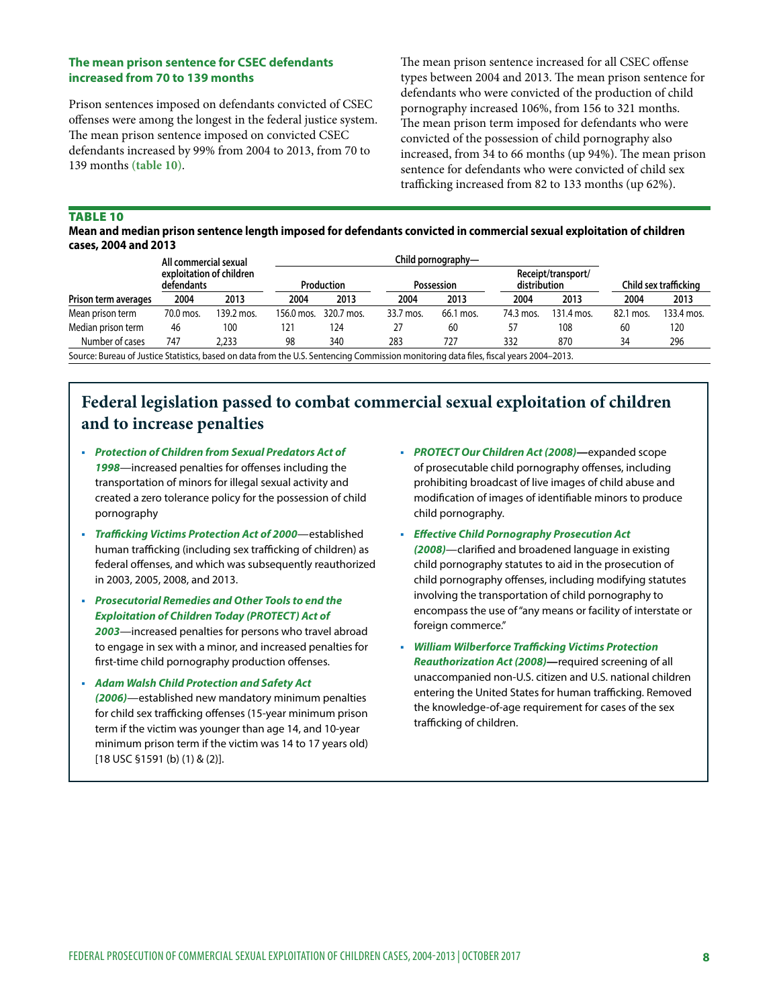## **The mean prison sentence for CSEC defendants increased from 70 to 139 months**

Prison sentences imposed on defendants convicted of CSEC offenses were among the longest in the federal justice system. The mean prison sentence imposed on convicted CSEC defendants increased by 99% from 2004 to 2013, from 70 to 139 months **(table 10)**.

The mean prison sentence increased for all CSEC offense types between 2004 and 2013. The mean prison sentence for defendants who were convicted of the production of child pornography increased 106%, from 156 to 321 months. The mean prison term imposed for defendants who were convicted of the possession of child pornography also increased, from 34 to 66 months (up 94%). The mean prison sentence for defendants who were convicted of child sex trafficking increased from 82 to 133 months (up 62%).

## TABLE 10

**Mean and median prison sentence length imposed for defendants convicted in commercial sexual exploitation of children cases, 2004 and 2013**

|                                                                                                                                        | All commercial sexual<br>exploitation of children<br>defendants |            |            |            |            |           |                                           |            |                       |            |
|----------------------------------------------------------------------------------------------------------------------------------------|-----------------------------------------------------------------|------------|------------|------------|------------|-----------|-------------------------------------------|------------|-----------------------|------------|
|                                                                                                                                        |                                                                 |            | Production |            | Possession |           | Receipt/transport/<br><b>distribution</b> |            | Child sex trafficking |            |
| Prison term averages                                                                                                                   | 2004                                                            | 2013       | 2004       | 2013       | 2004       | 2013      | 2004                                      | 2013       | 2004                  | 2013       |
| Mean prison term                                                                                                                       | 70.0 mos.                                                       | 139.2 mos. | 156.0 mos. | 320.7 mos. | 33.7 mos.  | 66.1 mos. | 74.3 mos.                                 | 131.4 mos. | 82.1 mos.             | 133.4 mos. |
| Median prison term                                                                                                                     | 46                                                              | 100        | 121        | 124        | 27         | 60        |                                           | 108        | 60                    | 120        |
| Number of cases                                                                                                                        | 747                                                             | 2.233      | 98         | 340        | 283        | 727       | 332                                       | 870        | 34                    | 296        |
| Source: Bureau of Justice Statistics, based on data from the U.S. Sentencing Commission monitoring data files, fiscal years 2004–2013. |                                                                 |            |            |            |            |           |                                           |            |                       |            |

Source: Bureau of Justice Statistics, based on data from the U.S. Sentencing Commission monitoring data files, fiscal years 2004–2013.

# **Federal legislation passed to combat commercial sexual exploitation of children and to increase penalties**

- *Protection of Children from Sexual Predators Act of 1998*—increased penalties for offenses including the transportation of minors for illegal sexual activity and created a zero tolerance policy for the possession of child pornography
- *Trafficking Victims Protection Act of 2000*—established human trafficking (including sex trafficking of children) as federal offenses, and which was subsequently reauthorized in 2003, 2005, 2008, and 2013.
- *Prosecutorial Remedies and Other Tools to end the Exploitation of Children Today (PROTECT) Act of 2003*—increased penalties for persons who travel abroad to engage in sex with a minor, and increased penalties for first-time child pornography production offenses.
- *Adam Walsh Child Protection and Safety Act (2006)*—established new mandatory minimum penalties for child sex trafficking offenses (15-year minimum prison term if the victim was younger than age 14, and 10-year minimum prison term if the victim was 14 to 17 years old) [18 USC §1591 (b) (1) & (2)].
- *PROTECT Our Children Act (2008)—*expanded scope of prosecutable child pornography offenses, including prohibiting broadcast of live images of child abuse and modification of images of identifiable minors to produce child pornography.
- *Effective Child Pornography Prosecution Act (2008)*—clarified and broadened language in existing child pornography statutes to aid in the prosecution of child pornography offenses, including modifying statutes involving the transportation of child pornography to encompass the use of "any means or facility of interstate or foreign commerce."
- *William Wilberforce Trafficking Victims Protection Reauthorization Act (2008)—*required screening of all unaccompanied non-U.S. citizen and U.S. national children entering the United States for human trafficking. Removed the knowledge-of-age requirement for cases of the sex trafficking of children.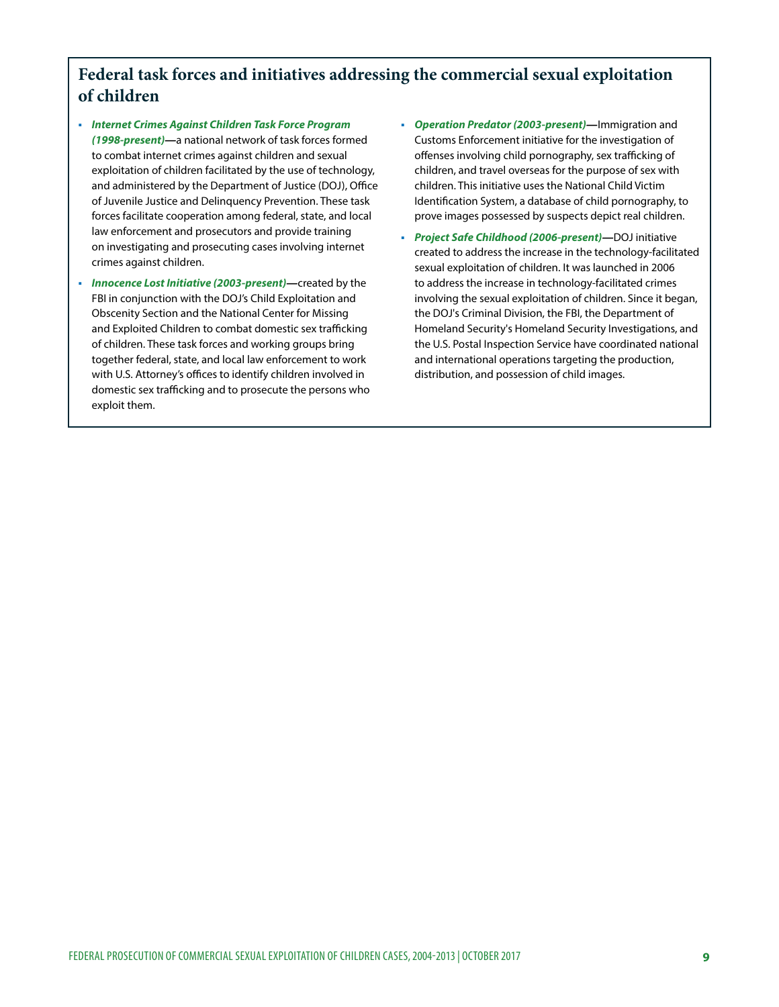# **Federal task forces and initiatives addressing the commercial sexual exploitation of children**

- *Internet Crimes Against Children Task Force Program (1998-present)—*a national network of task forces formed to combat internet crimes against children and sexual exploitation of children facilitated by the use of technology, and administered by the Department of Justice (DOJ), Office of Juvenile Justice and Delinquency Prevention. These task forces facilitate cooperation among federal, state, and local law enforcement and prosecutors and provide training on investigating and prosecuting cases involving internet crimes against children.
- *Innocence Lost Initiative (2003-present)—*created by the FBI in conjunction with the DOJ's Child Exploitation and Obscenity Section and the National Center for Missing and Exploited Children to combat domestic sex trafficking of children. These task forces and working groups bring together federal, state, and local law enforcement to work with U.S. Attorney's offices to identify children involved in domestic sex trafficking and to prosecute the persons who exploit them.
- *Operation Predator (2003-present)—*Immigration and Customs Enforcement initiative for the investigation of offenses involving child pornography, sex trafficking of children, and travel overseas for the purpose of sex with children. This initiative uses the National Child Victim Identification System, a database of child pornography, to prove images possessed by suspects depict real children.
- *Project Safe Childhood (2006-present)—*DOJ initiative created to address the increase in the technology-facilitated sexual exploitation of children. It was launched in 2006 to address the increase in technology-facilitated crimes involving the sexual exploitation of children. Since it began, the DOJ's Criminal Division, the FBI, the Department of Homeland Security's Homeland Security Investigations, and the U.S. Postal Inspection Service have coordinated national and international operations targeting the production, distribution, and possession of child images.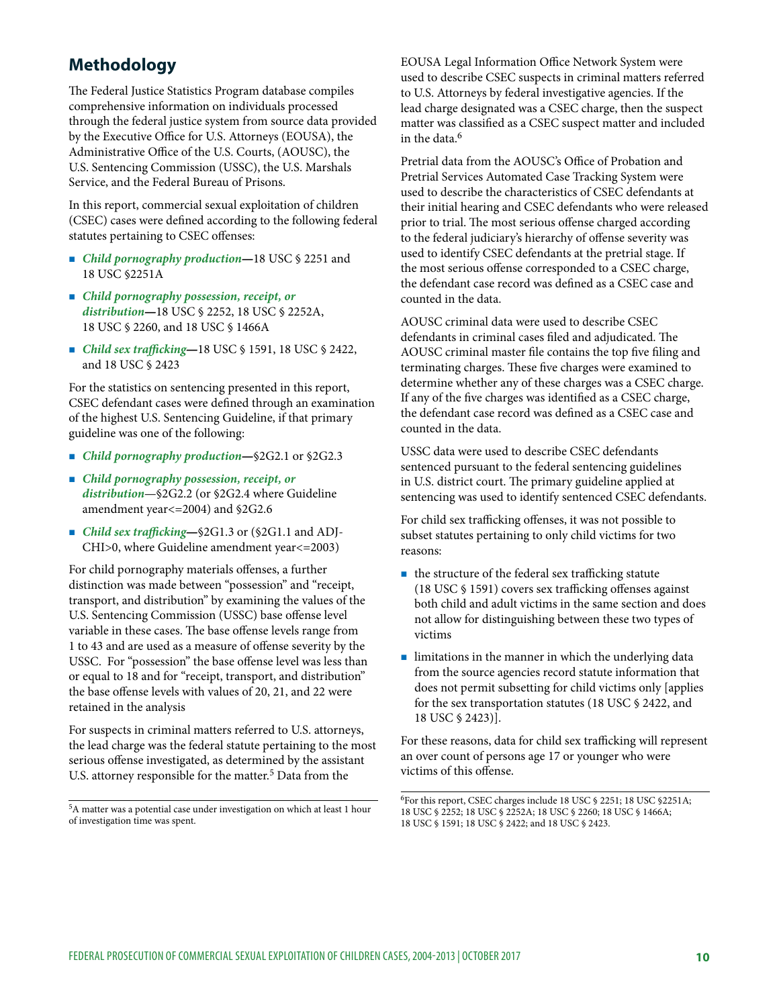# **Methodology**

The Federal Justice Statistics Program database compiles comprehensive information on individuals processed through the federal justice system from source data provided by the Executive Office for U.S. Attorneys (EOUSA), the Administrative Office of the U.S. Courts, (AOUSC), the U.S. Sentencing Commission (USSC), the U.S. Marshals Service, and the Federal Bureau of Prisons.

In this report, commercial sexual exploitation of children (CSEC) cases were defined according to the following federal statutes pertaining to CSEC offenses:

- *Child pornography production—*18 USC § 2251 and 18 USC §2251A
- *Child pornography possession, receipt, or distribution—*18 USC § 2252, 18 USC § 2252A, 18 USC § 2260, and 18 USC § 1466A
- *Child sex trafficking—*18 USC § 1591, 18 USC § 2422, and 18 USC § 2423

For the statistics on sentencing presented in this report, CSEC defendant cases were defined through an examination of the highest U.S. Sentencing Guideline, if that primary guideline was one of the following:

- *Child pornography production*—§2G2.1 or §2G2.3
- *Child pornography possession, receipt, or distribution*—§2G2.2 (or §2G2.4 where Guideline amendment year<=2004) and §2G2.6
- *Child sex trafficking*—§2G1.3 or (§2G1.1 and ADJ-CHI>0, where Guideline amendment year<=2003)

For child pornography materials offenses, a further distinction was made between "possession" and "receipt, transport, and distribution" by examining the values of the U.S. Sentencing Commission (USSC) base offense level variable in these cases. The base offense levels range from 1 to 43 and are used as a measure of offense severity by the USSC. For "possession" the base offense level was less than or equal to 18 and for "receipt, transport, and distribution" the base offense levels with values of 20, 21, and 22 were retained in the analysis

For suspects in criminal matters referred to U.S. attorneys, the lead charge was the federal statute pertaining to the most serious offense investigated, as determined by the assistant U.S. attorney responsible for the matter.<sup>5</sup> Data from the

5A matter was a potential case under investigation on which at least 1 hour of investigation time was spent.

EOUSA Legal Information Office Network System were used to describe CSEC suspects in criminal matters referred to U.S. Attorneys by federal investigative agencies. If the lead charge designated was a CSEC charge, then the suspect matter was classified as a CSEC suspect matter and included in the data.<sup>6</sup>

Pretrial data from the AOUSC's Office of Probation and Pretrial Services Automated Case Tracking System were used to describe the characteristics of CSEC defendants at their initial hearing and CSEC defendants who were released prior to trial. The most serious offense charged according to the federal judiciary's hierarchy of offense severity was used to identify CSEC defendants at the pretrial stage. If the most serious offense corresponded to a CSEC charge, the defendant case record was defined as a CSEC case and counted in the data.

AOUSC criminal data were used to describe CSEC defendants in criminal cases filed and adjudicated. The AOUSC criminal master file contains the top five filing and terminating charges. These five charges were examined to determine whether any of these charges was a CSEC charge. If any of the five charges was identified as a CSEC charge, the defendant case record was defined as a CSEC case and counted in the data.

USSC data were used to describe CSEC defendants sentenced pursuant to the federal sentencing guidelines in U.S. district court. The primary guideline applied at sentencing was used to identify sentenced CSEC defendants.

For child sex trafficking offenses, it was not possible to subset statutes pertaining to only child victims for two reasons:

- $\blacksquare$  the structure of the federal sex trafficking statute (18 USC § 1591) covers sex trafficking offenses against both child and adult victims in the same section and does not allow for distinguishing between these two types of victims
- **I** limitations in the manner in which the underlying data from the source agencies record statute information that does not permit subsetting for child victims only [applies for the sex transportation statutes (18 USC § 2422, and 18 USC § 2423)].

For these reasons, data for child sex trafficking will represent an over count of persons age 17 or younger who were victims of this offense.

<sup>6</sup>For this report, CSEC charges include 18 USC § 2251; 18 USC §2251A; 18 USC § 2252; 18 USC § 2252A; 18 USC § 2260; 18 USC § 1466A; 18 USC § 1591; 18 USC § 2422; and 18 USC § 2423.